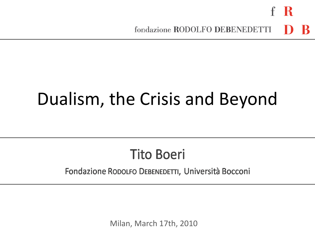# Dualism, the Crisis and Beyond

### **Tito Boeri**

#### Fondazione RODOLFO DEBENEDETTI, Università Bocconi

Milan, March 17th, 2010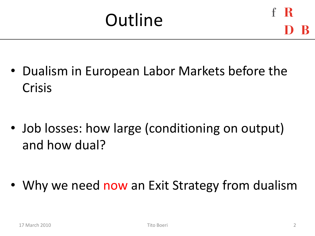• Dualism in European Labor Markets before the Crisis

• Job losses: how large (conditioning on output) and how dual?

Why we need now an Exit Strategy from dualism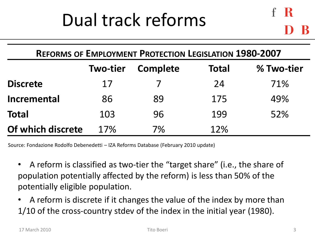## Dual track reforms

| <b>REFORMS OF EMPLOYMENT PROTECTION LEGISLATION 1980-2007</b> |                 |          |              |            |  |
|---------------------------------------------------------------|-----------------|----------|--------------|------------|--|
|                                                               | <b>Two-tier</b> | Complete | <b>Total</b> | % Two-tier |  |
| <b>Discrete</b>                                               | 17              |          | 24           | 71%        |  |
| <b>Incremental</b>                                            | 86              | 89       | 175          | 49%        |  |
| <b>Total</b>                                                  | 103             | 96       | 199          | 52%        |  |
| Of which discrete                                             | 17%             | 7%       | 12%          |            |  |

Source: Fondazione Rodolfo Debenedetti – IZA Reforms Database (February 2010 update)

- A reform is classified as two-tier the "target share" (i.e., the share of population potentially affected by the reform) is less than 50% of the potentially eligible population.
- A reform is discrete if it changes the value of the index by more than 1/10 of the cross-country stdev of the index in the initial year (1980).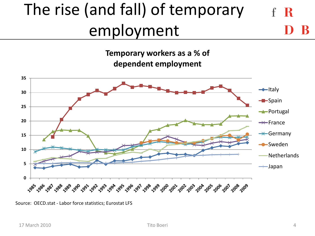#### The rise (and fall) of temporary -R employment

**Temporary workers as a % of dependent employment**



Source: OECD.stat - Labor force statistics; Eurostat LFS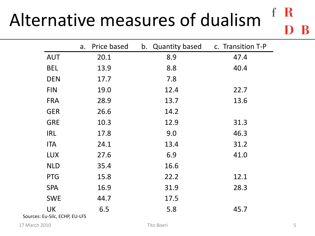#### $f$ Alternative measures of dualism

|            | Price based<br>a. | b. Quantity based | c. Transition T-P |
|------------|-------------------|-------------------|-------------------|
| <b>AUT</b> | 20.1              | 8.9               | 47.4              |
| <b>BEL</b> | 13.9              | 8.8               | 40.4              |
| <b>DEN</b> | 17.7              | 7.8               |                   |
| <b>FIN</b> | 19.0              | 12.4              | 22.7              |
| <b>FRA</b> | 28.9              | 13.7              | 13.6              |
| <b>GER</b> | 26.6              | 14.2              |                   |
| <b>GRE</b> | 10.3              | 12.9              | 31.3              |
| IRL        | 17.8              | 9.0               | 46.3              |
| <b>ITA</b> | 24.1              | 13.4              | 31.2              |
| <b>LUX</b> | 27.6              | 6.9               | 41.0              |
| <b>NLD</b> | 35.4              | 16.6              |                   |
| <b>PTG</b> | 15.8              | 22.2              | 12.1              |
| <b>SPA</b> | 16.9              | 31.9              | 28.3              |
| <b>SWE</b> | 44.7              | 17.5              |                   |
| <b>UK</b>  | 6.5               | 5.8               | 45.7              |

Sources: Eu-Silc, ECHP, EU-LFS

17 March 2010 **System Struck Control Control Control Control Control Control Control Control Control Control Control Control Control Control Control Control Control Control Control Control Control Control Control Control C** 

 $\mathbf R$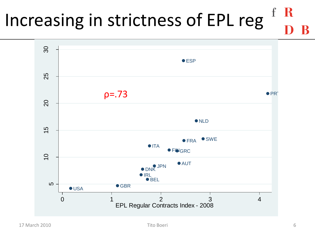### R Increasing in strictness of EPL reg

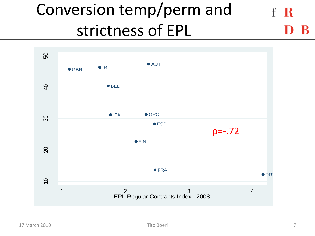#### Conversion temp/perm and - R strictness of EPL

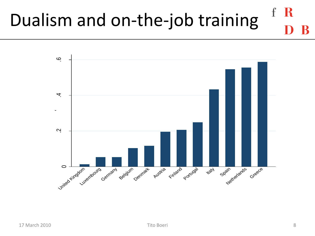### -R Dualism and on-the-job training

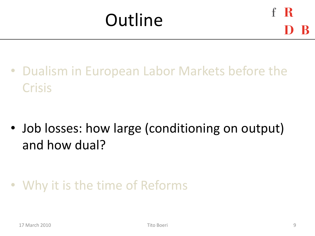• Dualism in European Labor Markets before the Crisis

• Job losses: how large (conditioning on output) and how dual?

• Why it is the time of Reforms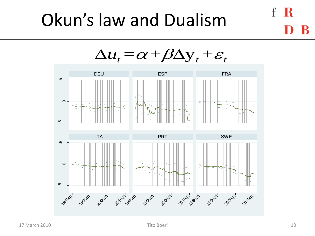## Okun's law and Dualism



-R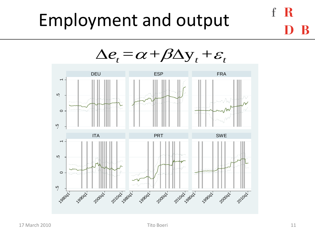## Employment and output



-R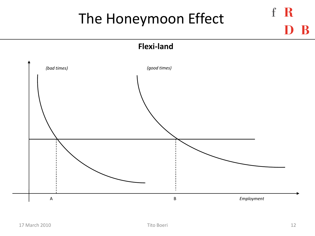## The Honeymoon Effect

**Flexi-land**



f R

B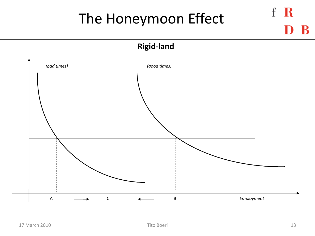## The Honeymoon Effect

**Rigid-land**



f R

R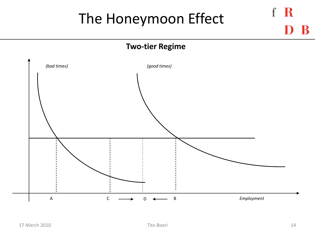## The Honeymoon Effect

#### **Two-tier Regime**



f R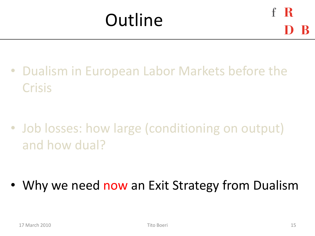• Dualism in European Labor Markets before the Crisis

• Job losses: how large (conditioning on output) and how dual?

Why we need now an Exit Strategy from Dualism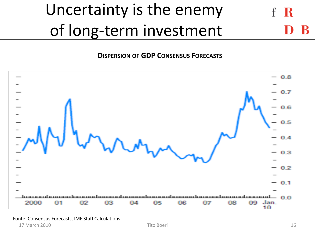#### Uncertainty is the enemy R of long-term investment

**DISPERSION OF GDP CONSENSUS FORECASTS**



17 March 2010 **Tito Boeri** Tito Boeri **16** and 2010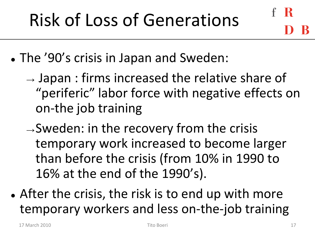- The '90's crisis in Japan and Sweden:
	- $\rightarrow$  Japan : firms increased the relative share of "periferic" labor force with negative effects on on-the job training
	- $\rightarrow$ Sweden: in the recovery from the crisis temporary work increased to become larger than before the crisis (from 10% in 1990 to 16% at the end of the 1990's).
- After the crisis, the risk is to end up with more temporary workers and less on-the-job training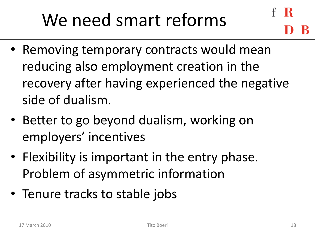# We need smart reforms

- 
- Removing temporary contracts would mean reducing also employment creation in the recovery after having experienced the negative side of dualism.
- Better to go beyond dualism, working on employers' incentives
- Flexibility is important in the entry phase. Problem of asymmetric information
- Tenure tracks to stable jobs